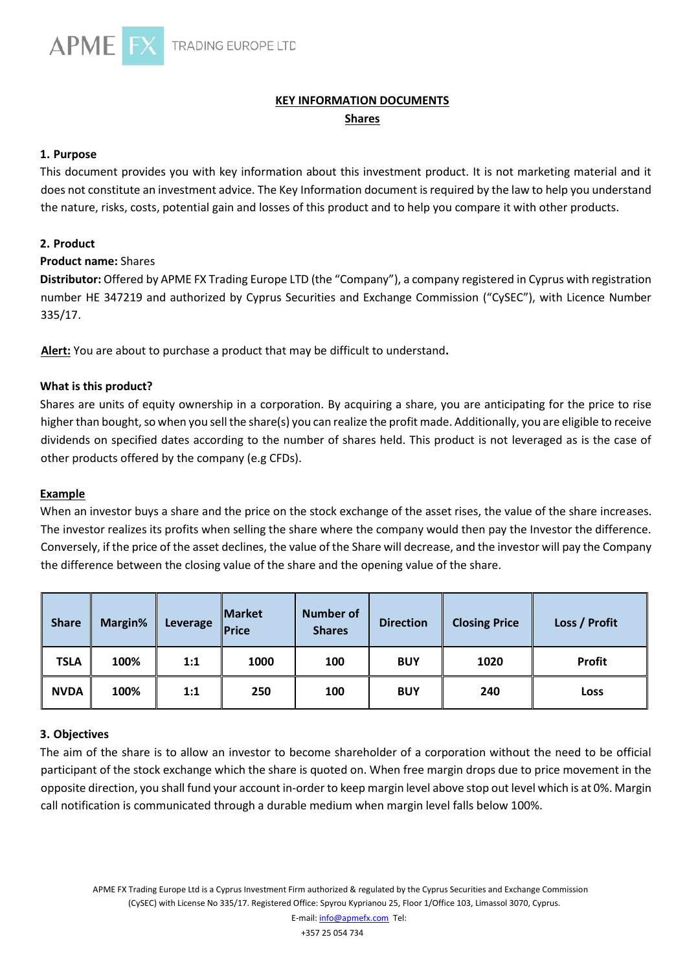

# **KEY INFORMATION DOCUMENTS Shares**

#### **1. Purpose**

This document provides you with key information about this investment product. It is not marketing material and it does not constitute an investment advice. The Key Information document is required by the law to help you understand the nature, risks, costs, potential gain and losses of this product and to help you compare it with other products.

## **2. Product**

## **Product name:** Shares

**Distributor:** Offered by APME FX Trading Europe LTD (the "Company"), a company registered in Cyprus with registration number HE 347219 and authorized by Cyprus Securities and Exchange Commission ("CySEC"), with Licence Number 335/17.

**Alert:** You are about to purchase a product that may be difficult to understand**.**

# **What is this product?**

Shares are units of equity ownership in a corporation. By acquiring a share, you are anticipating for the price to rise higher than bought, so when you sell the share(s) you can realize the profit made. Additionally, you are eligible to receive dividends on specified dates according to the number of shares held. This product is not leveraged as is the case of other products offered by the company (e.g CFDs).

#### **Example**

When an investor buys a share and the price on the stock exchange of the asset rises, the value of the share increases. The investor realizes its profits when selling the share where the company would then pay the Investor the difference. Conversely, if the price of the asset declines, the value of the Share will decrease, and the investor will pay the Company the difference between the closing value of the share and the opening value of the share.

| <b>Share</b> | Margin% | Leverage | <b>Market</b><br><b>Price</b> | <b>Number of</b><br><b>Shares</b> | <b>Direction</b> | <b>Closing Price</b> | Loss / Profit |
|--------------|---------|----------|-------------------------------|-----------------------------------|------------------|----------------------|---------------|
| <b>TSLA</b>  | 100%    | 1:1      | 1000                          | 100                               | <b>BUY</b>       | 1020                 | <b>Profit</b> |
| <b>NVDA</b>  | 100%    | 1:1      | 250                           | 100                               | <b>BUY</b>       | 240                  | Loss          |

#### **3. Objectives**

The aim of the share is to allow an investor to become shareholder of a corporation without the need to be official participant of the stock exchange which the share is quoted on. When free margin drops due to price movement in the opposite direction, you shall fund your account in-order to keep margin level above stop out level which is at 0%. Margin call notification is communicated through a durable medium when margin level falls below 100%.

+357 25 054 734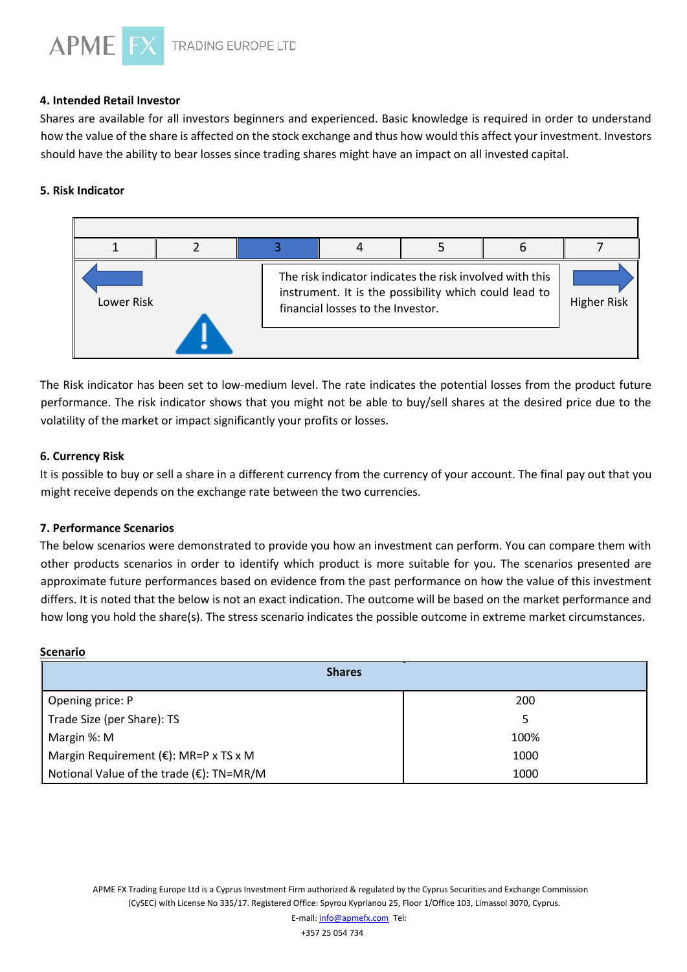

#### **4. Intended Retail Investor**

Shares are available for all investors beginners and experienced. Basic knowledge is required in order to understand how the value of the share is affected on the stock exchange and thus how would this affect your investment. Investors should have the ability to bear losses since trading shares might have an impact on all invested capital.

#### **5. Risk Indicator**



The Risk indicator has been set to low-medium level. The rate indicates the potential losses from the product future performance. The risk indicator shows that you might not be able to buy/sell shares at the desired price due to the volatility of the market or impact significantly your profits or losses.

#### **6. Currency Risk**

It is possible to buy or sell a share in a different currency from the currency of your account. The final pay out that you might receive depends on the exchange rate between the two currencies.

#### **7. Performance Scenarios**

The below scenarios were demonstrated to provide you how an investment can perform. You can compare them with other products scenarios in order to identify which product is more suitable for you. The scenarios presented are approximate future performances based on evidence from the past performance on how the value of this investment differs. It is noted that the below is not an exact indication. The outcome will be based on the market performance and how long you hold the share(s). The stress scenario indicates the possible outcome in extreme market circumstances.

#### **Scenario**

| <b>Shares</b>                                    |      |  |  |  |  |
|--------------------------------------------------|------|--|--|--|--|
| Opening price: P                                 | 200  |  |  |  |  |
| Trade Size (per Share): TS                       |      |  |  |  |  |
| Margin %: M                                      | 100% |  |  |  |  |
| Margin Requirement ( $\epsilon$ ): MR=P x TS x M | 1000 |  |  |  |  |
| Notional Value of the trade (€): TN=MR/M         | 1000 |  |  |  |  |

APME FX Trading Europe Ltd is a Cyprus Investment Firm authorized & regulated by the Cyprus Securities and Exchange Commission (CySEC) with License No 335/17. Registered Office: Spyrou Kyprianou 25, Floor 1/Office 103, Limassol 3070, Cyprus.

+357 25 054 734